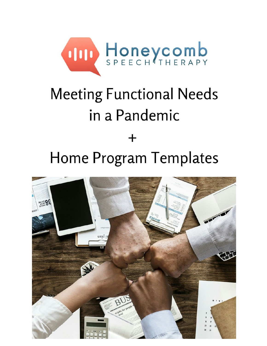

## **Meeting Functional Needs** in a Pandemic

# Home Program Templates

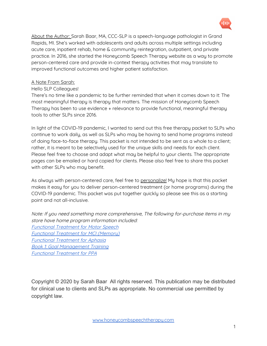

About the Author: Sarah Baar, MA, CCC-SLP is a speech-language pathologist in Grand Rapids, MI. She's worked with adolescents and adults across multiple settings including acute care, inpatient rehab, home & community reintegration, outpatient, and private practice. In 2016, she started the Honeycomb Speech Therapy website as a way to promote person-centered care and provide in-context therapy activities that may translate to improved functional outcomes and higher patient satisfaction.

#### A Note From Sarah:

#### Hello SLP Colleagues!

There's no time like a pandemic to be further reminded that when it comes down to it: The most meaningful therapy is therapy that matters. The mission of Honeycomb Speech Therapy has been to use evidence + relevance to provide functional, meaningful therapy tools to other SLPs since 2016.

In light of the COVID-19 pandemic, I wanted to send out this free therapy packet to SLPs who continue to work daily, as well as SLPs who may be having to send home programs instead of doing face-to-face therapy. This packet is not intended to be sent as a whole to a client; rather, it is meant to be selectively used for the unique skills and needs for each client. Please feel free to choose and adapt what may be helpful to your clients. The appropriate pages can be emailed or hard copied for clients. Please also feel free to share this packet with other SLPs who may benefit.

As always with person-centered care, feel free to personalize! My hope is that this packet makes it easy for you to deliver person-centered treatment (or home programs) during the COVID-19 pandemic. This packet was put together quickly so please see this as a starting point and not all-inclusive.

Note: If you need something more comprehensive, The following for-purchase items in my store have home program information included: [Functional](https://honeycombspeechtherapy.com/product/functional-treatment-for-motor-speech-disorders/) Treatment for Motor Speech Functional Treatment for MCI [\(Memory\)](https://honeycombspeechtherapy.com/product/functional-treatment-for-mild-cognitive-impairment/) [Functional](https://honeycombspeechtherapy.com/product/functional-treatment-for-aphasia-bundle/) Treatment for Aphasia Book 1: Goal [Management](https://honeycombspeechtherapy.com/product/functional-cognition-book-1-goal-management-training/) Training [Functional](https://honeycombspeechtherapy.com/product/functional-treatment-for-primary-progressive-aphasia/) Treatment for PPA

Copyright © 2020 by Sarah Baar All rights reserved. This publication may be distributed for clinical use to clients and SLPs as appropriate. No commercial use permitted by copyright law.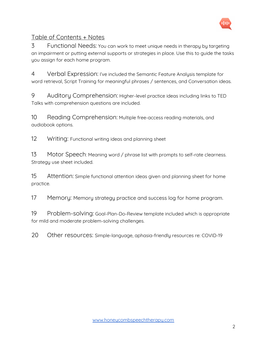

#### Table of Contents + Notes

3 Functional Needs: You can work to meet unique needs in therapy by targeting an impairment or putting external supports or strategies in place. Use this to guide the tasks you assign for each home program.

4 Verbal Expression: I've included the Semantic Feature Analysis template for word retrieval, Script Training for meaningful phrases / sentences, and Conversation ideas.

9 Auditory Comprehension: Higher-level practice ideas including links to TED Talks with comprehension questions are included.

10 Reading Comprehension: Multiple free-access reading materials, and audiobook options.

12 Writing: Functional writing ideas and planning sheet

13 Motor Speech: Meaning word / phrase list with prompts to self-rate clearness. Strategy use sheet included.

15 Attention: Simple functional attention ideas given and planning sheet for home practice.

17 Memory: Memory strategy practice and success log for home program.

19 Problem-solving: Goal-Plan-Do-Review template included which is appropriate for mild and moderate problem-solving challenges.

20 Other resources: Simple-language, aphasia-friendly resources re: COVID-19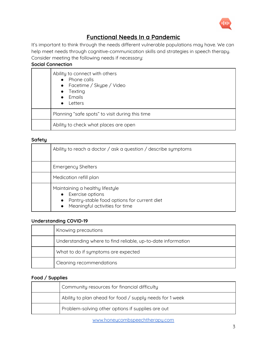

#### **Functional Needs In a Pandemic**

It's important to think through the needs different vulnerable populations may have. We can help meet needs through cognitive-communication skills and strategies in speech therapy. Consider meeting the following needs if necessary:

| Ability to connect with others<br>• Phone calls<br>• Facetime / Skype / Video<br>$\bullet$ Texting<br>• Emails<br>$\bullet$ Letters |  |  |
|-------------------------------------------------------------------------------------------------------------------------------------|--|--|
| Planning "safe spots" to visit during this time                                                                                     |  |  |
| Ability to check what places are open                                                                                               |  |  |

#### **Safety**

| Ability to reach a doctor / ask a question / describe symptoms                                                                                                   |  |  |
|------------------------------------------------------------------------------------------------------------------------------------------------------------------|--|--|
| <b>Emergency Shelters</b>                                                                                                                                        |  |  |
| Medication refill plan                                                                                                                                           |  |  |
| Maintaining a healthy lifestyle<br>• Exercise options<br>Pantry-stable food options for current diet<br>$\bullet$<br>Meaningful activities for time<br>$\bullet$ |  |  |

#### **Understanding COVID-19**

| Knowing precautions                                          |
|--------------------------------------------------------------|
| Understanding where to find reliable, up-to-date information |
| What to do if symptoms are expected                          |
| Cleaning recommendations                                     |

#### **Food / Supplies**

| Community resources for financial difficulty             |
|----------------------------------------------------------|
| Ability to plan ahead for food / supply needs for 1 week |
| Problem-solving other options if supplies are out        |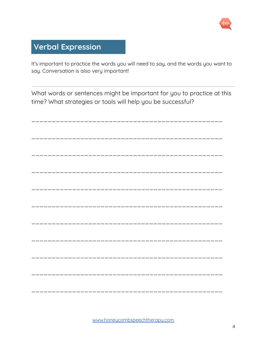

## **Verbal Expression**

It's important to practice the words you will need to say, and the words you want to say. Conversation is also very important!

What words or sentences might be important for you to practice at this time? What strategies or tools will help you be successful?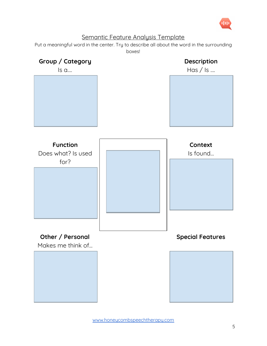

#### Semantic Feature Analysis Template

Put a meaningful word in the center. Try to describe all about the word in the surrounding boxes!

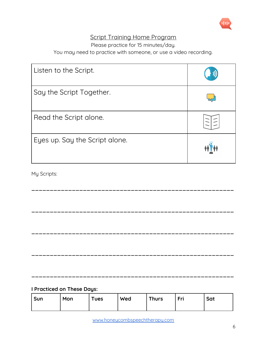

#### Script Training Home Program

Please practice for 15 minutes/day.

You may need to practice with someone, or use a video recording.

| Listen to the Script.          |  |
|--------------------------------|--|
| Say the Script Together.       |  |
| Read the Script alone.         |  |
| Eyes up. Say the Script alone. |  |

**\_\_\_\_\_\_\_\_\_\_\_\_\_\_\_\_\_\_\_\_\_\_\_\_\_\_\_\_\_\_\_\_\_\_\_\_\_\_\_\_\_\_\_\_\_\_\_\_\_\_\_\_\_\_\_**

**\_\_\_\_\_\_\_\_\_\_\_\_\_\_\_\_\_\_\_\_\_\_\_\_\_\_\_\_\_\_\_\_\_\_\_\_\_\_\_\_\_\_\_\_\_\_\_\_\_\_\_\_\_\_\_**

**\_\_\_\_\_\_\_\_\_\_\_\_\_\_\_\_\_\_\_\_\_\_\_\_\_\_\_\_\_\_\_\_\_\_\_\_\_\_\_\_\_\_\_\_\_\_\_\_\_\_\_\_\_\_\_**

**\_\_\_\_\_\_\_\_\_\_\_\_\_\_\_\_\_\_\_\_\_\_\_\_\_\_\_\_\_\_\_\_\_\_\_\_\_\_\_\_\_\_\_\_\_\_\_\_\_\_\_\_\_\_\_**

**\_\_\_\_\_\_\_\_\_\_\_\_\_\_\_\_\_\_\_\_\_\_\_\_\_\_\_\_\_\_\_\_\_\_\_\_\_\_\_\_\_\_\_\_\_\_\_\_\_\_\_\_\_\_\_**

My Scripts:

**I Practiced on These Days:**

| <b>Sun</b> | Mon | <b>Tues</b> | Wed | <b>Thurs</b> | Fri | Sat |
|------------|-----|-------------|-----|--------------|-----|-----|
|            |     |             |     |              |     |     |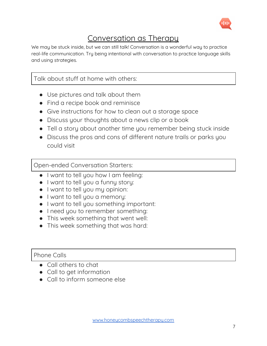

## Conversation as Therapy

We may be stuck inside, but we can still talk! Conversation is a wonderful way to practice real-life communication. Try being intentional with conversation to practice language skills and using strategies.

Talk about stuff at home with others:

- Use pictures and talk about them
- Find a recipe book and reminisce
- Give instructions for how to clean out a storage space
- Discuss your thoughts about a news clip or a book
- Tell a story about another time you remember being stuck inside
- Discuss the pros and cons of different nature trails or parks you could visit

Open-ended Conversation Starters:

- I want to tell you how I am feeling:
- I want to tell you a funny story:
- I want to tell you my opinion:
- I want to tell you a memory:
- I want to tell you something important:
- I need you to remember something:
- This week something that went well:
- This week something that was hard:

#### Phone Calls

- Call others to chat
- Call to get information
- Call to inform someone else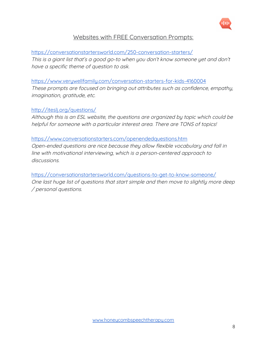

#### Websites with FREE Conversation Prompts:

<https://conversationstartersworld.com/250-conversation-starters/> This is <sup>a</sup> giant list that's <sup>a</sup> good go-to when you don't know someone yet and don't have <sup>a</sup> specific theme of question to ask.

<https://www.verywellfamily.com/conversation-starters-for-kids-4160004> These prompts are focused on bringing out attributes such as confidence, empathy, imagination, gratitude, etc.

#### <http://iteslj.org/questions/>

Although this is an ESL website, the questions are organized by topic which could be helpful for someone with <sup>a</sup> particular interest area. There are TONS of topics!

#### <https://www.conversationstarters.com/openendedquestions.htm>

Open-ended questions are nice because they allow flexible vocabulary and fall in line with motivational interviewing, which is <sup>a</sup> person-centered approach to discussions.

<https://conversationstartersworld.com/questions-to-get-to-know-someone/> One last huge list of questions that start simple and then move to slightly more deep / personal questions.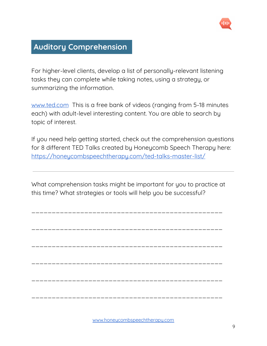

## **Auditory Comprehension**

For higher-level clients, develop a list of personally-relevant listening tasks they can complete while taking notes, using a strategy, or summarizing the information.

[www.ted.com](http://www.ted.com/) This is a free bank of videos (ranging from 5-18 minutes each) with adult-level interesting content. You are able to search by topic of interest.

If you need help getting started, check out the comprehension questions for 8 different TED Talks created by Honeycomb Speech Therapy here: <https://honeycombspeechtherapy.com/ted-talks-master-list/>

What comprehension tasks might be important for you to practice at this time? What strategies or tools will help you be successful?

\_\_\_\_\_\_\_\_\_\_\_\_\_\_\_\_\_\_\_\_\_\_\_\_\_\_\_\_\_\_\_\_\_\_\_\_\_\_\_\_\_\_\_\_\_\_\_

\_\_\_\_\_\_\_\_\_\_\_\_\_\_\_\_\_\_\_\_\_\_\_\_\_\_\_\_\_\_\_\_\_\_\_\_\_\_\_\_\_\_\_\_\_\_\_

\_\_\_\_\_\_\_\_\_\_\_\_\_\_\_\_\_\_\_\_\_\_\_\_\_\_\_\_\_\_\_\_\_\_\_\_\_\_\_\_\_\_\_\_\_\_\_

\_\_\_\_\_\_\_\_\_\_\_\_\_\_\_\_\_\_\_\_\_\_\_\_\_\_\_\_\_\_\_\_\_\_\_\_\_\_\_\_\_\_\_\_\_\_\_

\_\_\_\_\_\_\_\_\_\_\_\_\_\_\_\_\_\_\_\_\_\_\_\_\_\_\_\_\_\_\_\_\_\_\_\_\_\_\_\_\_\_\_\_\_\_\_

\_\_\_\_\_\_\_\_\_\_\_\_\_\_\_\_\_\_\_\_\_\_\_\_\_\_\_\_\_\_\_\_\_\_\_\_\_\_\_\_\_\_\_\_\_\_\_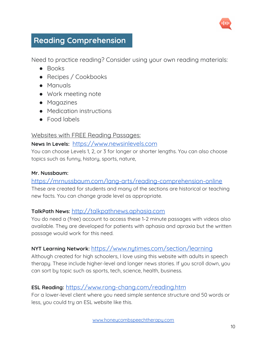

## **Reading Comprehension**

Need to practice reading? Consider using your own reading materials:

- Books
- Recipes / Cookbooks
- Manuals
- Work meeting note
- Magazines
- Medication instructions
- Food labels

#### Websites with FREE Reading Passages:

#### **News In Levels:** [https://www.newsinlevels.com](https://www.newsinlevels.com/)

You can choose Levels 1, 2, or 3 for longer or shorter lengths. You can also choose topics such as funny, history, sports, nature,

#### **Mr. Nussbaum:**

#### <https://mrnussbaum.com/lang-arts/reading-comprehension-online>

These are created for students and many of the sections are historical or teaching new facts. You can change grade level as appropriate.

#### **TalkPath News:** [http://talkpathnews.aphasia.com](http://talkpathnews.aphasia.com/)

You do need a (free) account to access these 1-2 minute passages with videos also available. They are developed for patients with aphasia and apraxia but the written passage would work for this need.

#### **NYT Learning Network:** <https://www.nytimes.com/section/learning>

Although created for high schoolers, I love using this website with adults in speech therapy. These include higher-level and longer news stories. If you scroll down, you can sort by topic such as sports, tech, science, health, business.

#### **ESL Reading:** <https://www.rong-chang.com/reading.htm>

For a lower-level client where you need simple sentence structure and 50 words or less, you could try an ESL website like this.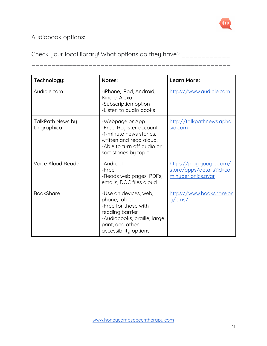

## Audiobook options:

Check your local library! What options do they have? \_\_\_\_\_\_\_\_\_\_\_\_\_

\_\_\_\_\_\_\_\_\_\_\_\_\_\_\_\_\_\_\_\_\_\_\_\_\_\_\_\_\_\_\_\_\_\_\_\_\_\_\_\_\_\_\_\_\_\_\_\_\_

| Technology:                     | <b>Notes:</b>                                                                                                                                                 | Learn More:                                                                       |
|---------------------------------|---------------------------------------------------------------------------------------------------------------------------------------------------------------|-----------------------------------------------------------------------------------|
| Audible.com                     | -iPhone, iPad, Android,<br>Kindle, Alexa<br>-Subscription option<br>-Listen to audio books                                                                    | https://www.audible.com                                                           |
| TalkPath News by<br>Lingraphica | -Webpage or App<br>-Free, Register account<br>-1-minute news stories,<br>written and read aloud.<br>-Able to turn off audio or<br>sort stories by topic       | <u>http://talkpathnews.apha</u><br>sia.com                                        |
| <b>Voice Aloud Reader</b>       | -Android<br>-Free<br>-Reads web pages, PDFs,<br>emails, DOC files aloud                                                                                       | <u>https://play.google.com/</u><br>store/apps/details?id=co<br>m.huperionics.avar |
| <b>BookShare</b>                | -Use on devices, web,<br>phone, tablet<br>-Free for those with<br>reading barrier<br>-Audiobooks, braille, large<br>print, and other<br>accessibility options | https://www.bookshare.or<br>g/cms/                                                |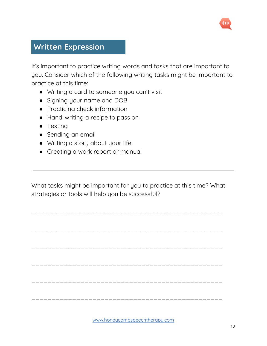

## **Written Expression**

It's important to practice writing words and tasks that are important to you. Consider which of the following writing tasks might be important to practice at this time:

- Writing a card to someone you can't visit
- Signing your name and DOB
- Practicing check information
- Hand-writing a recipe to pass on
- Texting
- Sending an email
- Writing a story about your life
- Creating a work report or manual

What tasks might be important for you to practice at this time? What strategies or tools will help you be successful?

\_\_\_\_\_\_\_\_\_\_\_\_\_\_\_\_\_\_\_\_\_\_\_\_\_\_\_\_\_\_\_\_\_\_\_\_\_\_\_\_\_\_\_\_\_\_\_

\_\_\_\_\_\_\_\_\_\_\_\_\_\_\_\_\_\_\_\_\_\_\_\_\_\_\_\_\_\_\_\_\_\_\_\_\_\_\_\_\_\_\_\_\_\_\_

\_\_\_\_\_\_\_\_\_\_\_\_\_\_\_\_\_\_\_\_\_\_\_\_\_\_\_\_\_\_\_\_\_\_\_\_\_\_\_\_\_\_\_\_\_\_\_

\_\_\_\_\_\_\_\_\_\_\_\_\_\_\_\_\_\_\_\_\_\_\_\_\_\_\_\_\_\_\_\_\_\_\_\_\_\_\_\_\_\_\_\_\_\_\_

\_\_\_\_\_\_\_\_\_\_\_\_\_\_\_\_\_\_\_\_\_\_\_\_\_\_\_\_\_\_\_\_\_\_\_\_\_\_\_\_\_\_\_\_\_\_\_

\_\_\_\_\_\_\_\_\_\_\_\_\_\_\_\_\_\_\_\_\_\_\_\_\_\_\_\_\_\_\_\_\_\_\_\_\_\_\_\_\_\_\_\_\_\_\_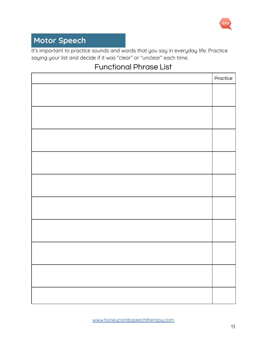

## **Motor Speech**

It's important to practice sounds and words that you say in everyday life. Practice saying your list and decide if it was "clear" or "unclear" each time.

## Functional Phrase List

| Practice |
|----------|
|          |
|          |
|          |
|          |
|          |
|          |
|          |
|          |
|          |
|          |
|          |
|          |
|          |
|          |
|          |
|          |
|          |
|          |
|          |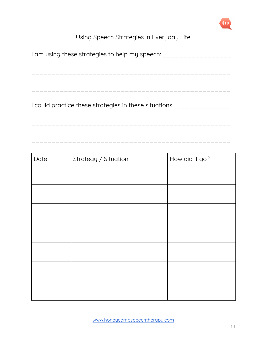

## Using Speech Strategies in Everyday Life

| I am using these strategies to help my speech: __________________  |  |  |
|--------------------------------------------------------------------|--|--|
|                                                                    |  |  |
|                                                                    |  |  |
|                                                                    |  |  |
| I could practice these strategies in these situations: ___________ |  |  |
|                                                                    |  |  |

\_\_\_\_\_\_\_\_\_\_\_\_\_\_\_\_\_\_\_\_\_\_\_\_\_\_\_\_\_\_\_\_\_\_\_\_\_\_\_\_\_\_\_\_\_\_\_\_\_

| Date | Strategy / Situation | How did it go? |
|------|----------------------|----------------|
|      |                      |                |
|      |                      |                |
|      |                      |                |
|      |                      |                |
|      |                      |                |
|      |                      |                |
|      |                      |                |
|      |                      |                |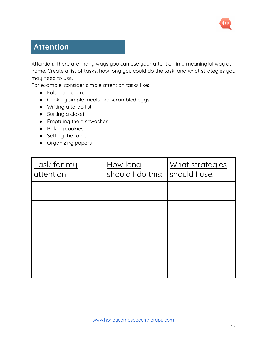

## **Attention**

Attention: There are many ways you can use your attention in a meaningful way at home. Create a list of tasks, how long you could do the task, and what strategies you may need to use.

For example, consider simple attention tasks like:

- Folding laundry
- Cooking simple meals like scrambled eggs
- Writing a to-do list
- Sorting a closet
- Emptying the dishwasher
- Baking cookies
- Setting the table
- Organizing papers

| Task for my<br>attention | How long<br>should I do this: | What strategies<br>should I use: |  |  |
|--------------------------|-------------------------------|----------------------------------|--|--|
|                          |                               |                                  |  |  |
|                          |                               |                                  |  |  |
|                          |                               |                                  |  |  |
|                          |                               |                                  |  |  |
|                          |                               |                                  |  |  |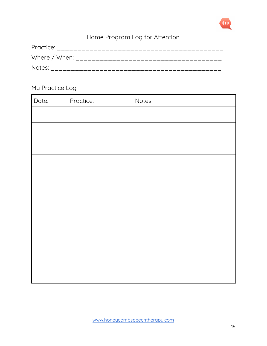

## Home Program Log for Attention

| Practice:     |
|---------------|
| Where / When: |
| Notes:        |

## My Practice Log:

| Date: | Practice: | Notes: |
|-------|-----------|--------|
|       |           |        |
|       |           |        |
|       |           |        |
|       |           |        |
|       |           |        |
|       |           |        |
|       |           |        |
|       |           |        |
|       |           |        |
|       |           |        |
|       |           |        |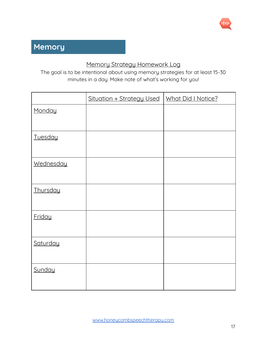

## **Memory**

#### Memory Strategy Homework Log

The goal is to be intentional about using memory strategies for at least 15-30 minutes in a day. Make note of what's working for you!

|                  | Situation + Strategy Used | What Did I Notice? |
|------------------|---------------------------|--------------------|
| Monday           |                           |                    |
|                  |                           |                    |
| Tuesday          |                           |                    |
| <b>Wednesday</b> |                           |                    |
| Thursday         |                           |                    |
| Friday           |                           |                    |
| Saturday         |                           |                    |
| Sunday           |                           |                    |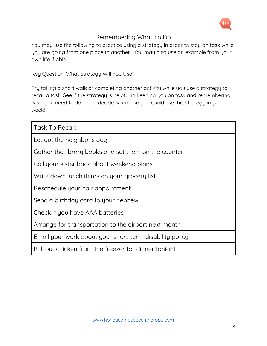

#### Remembering What To Do

You may use the following to practice using a strategy in order to stay on task while you are going from one place to another. You may also use an example from your own life if able.

#### Key Question: What Strategy Will You Use?

Try taking a short walk or completing another activity while you use a strategy to recall a task. See if the strategy is helpful in keeping you on task and remembering what you need to do. Then, decide when else you could use this strategy in your week!

| Task To Recall:                                         |
|---------------------------------------------------------|
| Let out the neighbor's dog                              |
| Gather the library books and set them on the counter    |
| Call your sister back about weekend plans               |
| Write down lunch items on your grocery list             |
| Reschedule your hair appointment                        |
| Send a birthday card to your nephew                     |
| Check if you have AAA batteries                         |
| Arrange for transportation to the airport next month    |
| Email your work about your short-term disability policy |
| Pull out chicken from the freezer for dinner tonight    |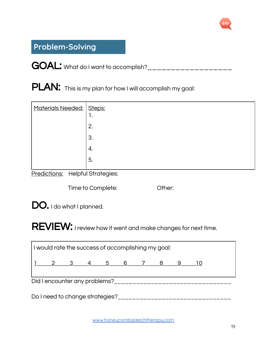

## **Problem-Solving**

GOAL: What do I want to accomplish?\_\_\_\_\_\_\_\_\_\_\_\_\_\_\_\_\_\_\_\_

PLAN: This is my plan for how I will accomplish my goal:

| Materials Needed:   Steps: | . . |
|----------------------------|-----|
|                            | 2.  |
|                            | 3.  |
|                            | 4.  |
|                            | 5.  |

Predictions: Helpful Strategies:

Time to Complete: Cher:

DO. I do what I planned.

REVIEW: I review how it went and make changes for next time.

| I would rate the success of accomplishing my goal: |                 |  |  |  |  |  |  |  |  |
|----------------------------------------------------|-----------------|--|--|--|--|--|--|--|--|
|                                                    | 2 3 4 5 6 7 8 9 |  |  |  |  |  |  |  |  |
| Did I encounter any problems?                      |                 |  |  |  |  |  |  |  |  |
| Do I need to change strategies?                    |                 |  |  |  |  |  |  |  |  |